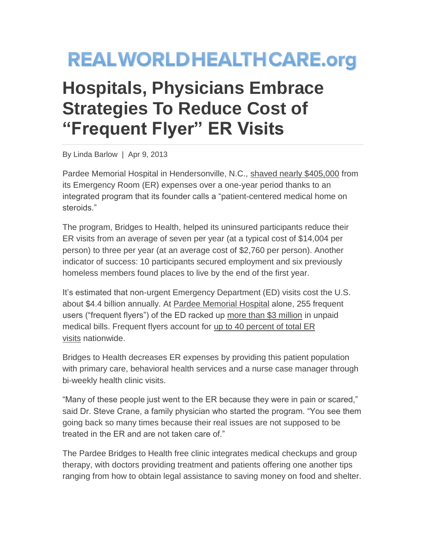## **REALWORLDHEALTHCARE.org**

## **Hospitals, Physicians Embrace Strategies To Reduce Cost of "Frequent Flyer" ER Visits**

By Linda Barlow | Apr 9, 2013

Pardee Memorial Hospital in Hendersonville, N.C., [shaved nearly \\$405,000](http://capsules.kaiserhealthnews.org/index.php/2013/03/a-bridge-to-health-and-away-from-er-overuse/) from its Emergency Room (ER) expenses over a one-year period thanks to an integrated program that its founder calls a "patient-centered medical home on steroids."

The program, Bridges to Health, helped its uninsured participants reduce their ER visits from an average of seven per year (at a typical cost of \$14,004 per person) to three per year (at an average cost of \$2,760 per person). Another indicator of success: 10 participants secured employment and six previously homeless members found places to live by the end of the first year.

It's estimated that non-urgent Emergency Department (ED) visits cost the U.S. about \$4.4 billion annually. At [Pardee Memorial Hospital](http://www.pardeehospital.org/) alone, 255 frequent users ("frequent flyers") of the ED racked up [more than \\$3 million](http://capsules.kaiserhealthnews.org/index.php/2013/03/a-bridge-to-health-and-away-from-er-overuse/) in unpaid medical bills. Frequent flyers account for [up to 40 percent of total ER](http://www.healthpolicysolutions.org/2012/10/10/er-frequent-flyers-need-more-care-not-less/)  [visits](http://www.healthpolicysolutions.org/2012/10/10/er-frequent-flyers-need-more-care-not-less/) nationwide.

Bridges to Health decreases ER expenses by providing this patient population with primary care, behavioral health services and a nurse case manager through bi-weekly health clinic visits.

"Many of these people just went to the ER because they were in pain or scared," said Dr. Steve Crane, a family physician who started the program. "You see them going back so many times because their real issues are not supposed to be treated in the ER and are not taken care of."

The Pardee Bridges to Health free clinic integrates medical checkups and group therapy, with doctors providing treatment and patients offering one another tips ranging from how to obtain legal assistance to saving money on food and shelter.